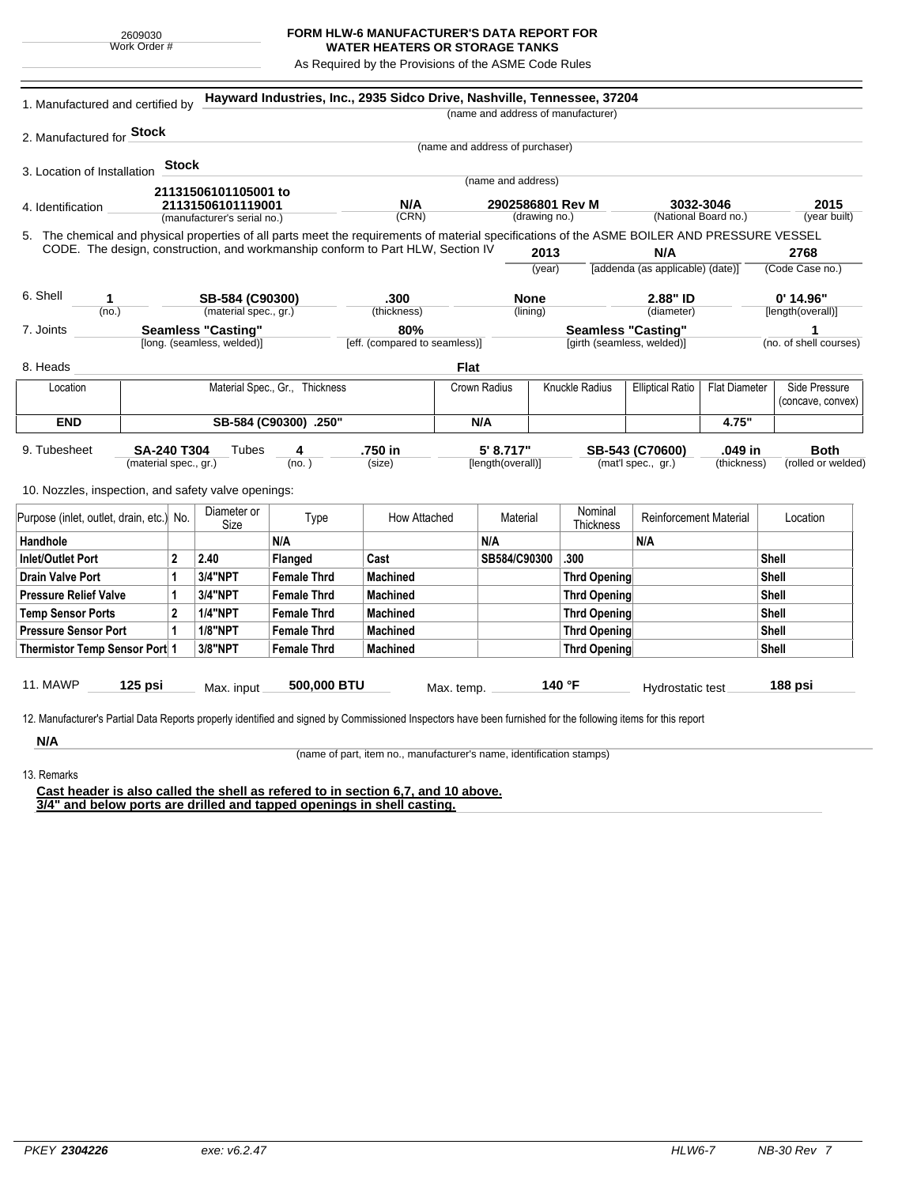## **FORM HLW-6 MANUFACTURER'S DATA REPORT FOR WATER HEATERS OR STORAGE TANKS**

As Required by the Provisions of the ASME Code Rules

| 1. Manufactured and certified by                                                                                                             |                       |                                                  |                            | Hayward Industries, Inc., 2935 Sidco Drive, Nashville, Tennessee, 37204         |                               |                                   |                                 |                                       |                                                 |             |                         |  |
|----------------------------------------------------------------------------------------------------------------------------------------------|-----------------------|--------------------------------------------------|----------------------------|---------------------------------------------------------------------------------|-------------------------------|-----------------------------------|---------------------------------|---------------------------------------|-------------------------------------------------|-------------|-------------------------|--|
|                                                                                                                                              |                       |                                                  |                            |                                                                                 |                               |                                   |                                 | (name and address of manufacturer)    |                                                 |             |                         |  |
| 2. Manufactured for <b>Stock</b>                                                                                                             |                       |                                                  |                            |                                                                                 |                               |                                   | (name and address of purchaser) |                                       |                                                 |             |                         |  |
|                                                                                                                                              |                       |                                                  |                            |                                                                                 |                               |                                   |                                 |                                       |                                                 |             |                         |  |
| 3. Location of Installation                                                                                                                  |                       | <b>Stock</b>                                     |                            |                                                                                 |                               |                                   |                                 |                                       |                                                 |             |                         |  |
|                                                                                                                                              | 21131506101105001 to  |                                                  |                            |                                                                                 | (name and address)            |                                   |                                 |                                       |                                                 |             |                         |  |
| 4. Identification                                                                                                                            |                       | 21131506101119001<br>(manufacturer's serial no.) |                            |                                                                                 | N/A                           | 2902586801 Rev M<br>(drawing no.) |                                 | 3032-3046<br>(National Board no.)     |                                                 | 2015        |                         |  |
|                                                                                                                                              |                       |                                                  |                            |                                                                                 | (CRN)                         |                                   |                                 |                                       |                                                 |             | (year built)            |  |
| 5. The chemical and physical properties of all parts meet the requirements of material specifications of the ASME BOILER AND PRESSURE VESSEL |                       |                                                  |                            | CODE. The design, construction, and workmanship conform to Part HLW, Section IV |                               |                                   | 2013                            |                                       |                                                 |             |                         |  |
|                                                                                                                                              |                       |                                                  |                            |                                                                                 |                               |                                   |                                 |                                       | N/A<br>[addenda (as applicable) (date)]         |             | 2768<br>(Code Case no.) |  |
|                                                                                                                                              |                       |                                                  |                            |                                                                                 |                               |                                   | (year)                          |                                       |                                                 |             |                         |  |
| 6. Shell<br>1                                                                                                                                |                       | SB-584 (C90300)                                  |                            |                                                                                 | .300                          |                                   | <b>None</b>                     |                                       | 2.88" ID                                        |             | $0'$ 14.96"             |  |
| (no.)                                                                                                                                        |                       |                                                  | (material spec., gr.)      |                                                                                 | (thickness)                   | (lining)                          |                                 |                                       | (diameter)                                      |             | [length(overall)]       |  |
| 7. Joints                                                                                                                                    |                       |                                                  | <b>Seamless "Casting"</b>  |                                                                                 | 80%                           |                                   | <b>Seamless "Casting"</b>       |                                       |                                                 |             | 1                       |  |
|                                                                                                                                              |                       |                                                  | [long. (seamless, welded)] |                                                                                 | [eff. (compared to seamless)] |                                   |                                 | [girth (seamless, welded)]            |                                                 |             | (no. of shell courses)  |  |
| 8. Heads                                                                                                                                     |                       |                                                  |                            |                                                                                 |                               | Flat                              |                                 |                                       |                                                 |             |                         |  |
| Location                                                                                                                                     |                       | Material Spec., Gr., Thickness                   |                            |                                                                                 |                               |                                   | Knuckle Radius<br>Crown Radius  |                                       | <b>Elliptical Ratio</b><br><b>Flat Diameter</b> |             | Side Pressure           |  |
|                                                                                                                                              |                       |                                                  |                            |                                                                                 |                               |                                   |                                 |                                       |                                                 |             | (concave, convex)       |  |
| <b>END</b>                                                                                                                                   | SB-584 (C90300) .250" |                                                  |                            |                                                                                 |                               | N/A                               |                                 |                                       |                                                 | 4.75"       |                         |  |
| 9. Tubesheet                                                                                                                                 | SA-240 T304           |                                                  | Tubes                      | 4                                                                               | .750 in                       |                                   | 5' 8.717"                       |                                       |                                                 | .049 in     | <b>Both</b>             |  |
|                                                                                                                                              | (material spec., gr.) |                                                  |                            | (no.)                                                                           | (size)                        |                                   | [length(overall)]               | SB-543 (C70600)<br>(mat'l spec., gr.) |                                                 | (thickness) | (rolled or welded)      |  |
|                                                                                                                                              |                       |                                                  |                            |                                                                                 |                               |                                   |                                 |                                       |                                                 |             |                         |  |
| 10. Nozzles, inspection, and safety valve openings:                                                                                          |                       |                                                  |                            |                                                                                 |                               |                                   |                                 |                                       |                                                 |             |                         |  |
| Purpose (inlet, outlet, drain, etc.) No.                                                                                                     |                       |                                                  | Diameter or                | Type                                                                            | How Attached                  |                                   | Material                        | Nominal                               | <b>Reinforcement Material</b>                   |             | Location                |  |
|                                                                                                                                              |                       |                                                  | Size                       |                                                                                 |                               |                                   | N/A                             | Thickness                             |                                                 |             |                         |  |
| Handhole                                                                                                                                     |                       |                                                  |                            | N/A                                                                             |                               |                                   |                                 |                                       | N/A                                             |             |                         |  |
| <b>Inlet/Outlet Port</b>                                                                                                                     |                       | $\mathbf{2}$                                     | 2.40                       | Flanged                                                                         | Cast                          |                                   | SB584/C90300                    | 300                                   |                                                 |             | <b>Shell</b>            |  |
| Drain Valve Port                                                                                                                             |                       | 1                                                | 3/4"NPT                    | <b>Female Thrd</b>                                                              | <b>Machined</b>               |                                   |                                 | <b>Thrd Opening</b>                   |                                                 |             | <b>Shell</b>            |  |
| <b>Pressure Relief Valve</b>                                                                                                                 |                       | 1                                                | 3/4"NPT                    | <b>Female Thrd</b>                                                              | <b>Machined</b>               |                                   |                                 | Thrd Opening                          |                                                 |             | <b>Shell</b>            |  |
| <b>Temp Sensor Ports</b>                                                                                                                     |                       | $\overline{2}$                                   | <b>1/4"NPT</b>             | <b>Female Thrd</b>                                                              | <b>Machined</b>               |                                   |                                 | <b>Thrd Opening</b>                   |                                                 |             | <b>Shell</b>            |  |
| <b>Pressure Sensor Port</b>                                                                                                                  |                       | 1                                                | <b>1/8"NPT</b>             | <b>Female Thrd</b>                                                              | <b>Machined</b>               |                                   |                                 | <b>Thrd Opening</b>                   |                                                 |             | <b>Shell</b>            |  |
| Thermistor Temp Sensor Port 1                                                                                                                |                       | 3/8"NPT                                          | <b>Female Thrd</b>         | <b>Machined</b>                                                                 |                               |                                   | <b>Thrd Opening</b>             |                                       |                                                 | Shell       |                         |  |
|                                                                                                                                              |                       |                                                  |                            |                                                                                 |                               |                                   |                                 |                                       |                                                 |             |                         |  |
| <b>11. MAWP</b>                                                                                                                              |                       | 125 psi<br>Max. input                            |                            | 500,000 BTU                                                                     |                               | Max. temp.                        |                                 | 140 °F                                | Hydrostatic test                                |             | 188 psi                 |  |

**N/A** 13. Remarks

(name of part, item no., manufacturer's name, identification stamps)

**Cast header is also called the shell as refered to in section 6,7, and 10 above. 3/4" and below ports are drilled and tapped openings in shell casting.**